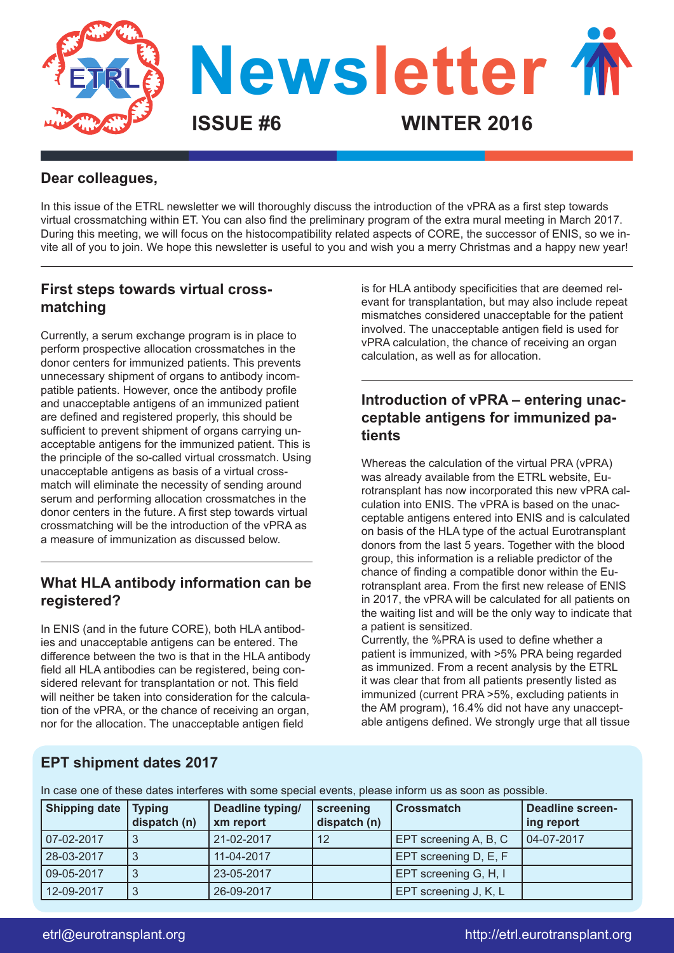

#### **Dear colleagues,**

In this issue of the ETRL newsletter we will thoroughly discuss the introduction of the vPRA as a first step towards virtual crossmatching within ET. You can also find the preliminary program of the extra mural meeting in March 2017. During this meeting, we will focus on the histocompatibility related aspects of CORE, the successor of ENIS, so we invite all of you to join. We hope this newsletter is useful to you and wish you a merry Christmas and a happy new year!

### **First steps towards virtual crossmatching**

Currently, a serum exchange program is in place to perform prospective allocation crossmatches in the donor centers for immunized patients. This prevents unnecessary shipment of organs to antibody incompatible patients. However, once the antibody profile and unacceptable antigens of an immunized patient are defined and registered properly, this should be sufficient to prevent shipment of organs carrying unacceptable antigens for the immunized patient. This is the principle of the so-called virtual crossmatch. Using unacceptable antigens as basis of a virtual crossmatch will eliminate the necessity of sending around serum and performing allocation crossmatches in the donor centers in the future. A first step towards virtual crossmatching will be the introduction of the vPRA as a measure of immunization as discussed below.

## **What HLA antibody information can be registered?**

In ENIS (and in the future CORE), both HLA antibodies and unacceptable antigens can be entered. The difference between the two is that in the HLA antibody field all HLA antibodies can be registered, being considered relevant for transplantation or not. This field will neither be taken into consideration for the calculation of the vPRA, or the chance of receiving an organ, nor for the allocation. The unacceptable antigen field

is for HLA antibody specificities that are deemed relevant for transplantation, but may also include repeat mismatches considered unacceptable for the patient involved. The unacceptable antigen field is used for vPRA calculation, the chance of receiving an organ calculation, as well as for allocation.

## **Introduction of vPRA – entering unacceptable antigens for immunized patients**

Whereas the calculation of the virtual PRA (vPRA) was already available from the ETRL website, Eurotransplant has now incorporated this new vPRA calculation into ENIS. The vPRA is based on the unacceptable antigens entered into ENIS and is calculated on basis of the HLA type of the actual Eurotransplant donors from the last 5 years. Together with the blood group, this information is a reliable predictor of the chance of finding a compatible donor within the Eurotransplant area. From the first new release of ENIS in 2017, the vPRA will be calculated for all patients on the waiting list and will be the only way to indicate that a patient is sensitized.

Currently, the %PRA is used to define whether a patient is immunized, with >5% PRA being regarded as immunized. From a recent analysis by the ETRL it was clear that from all patients presently listed as immunized (current PRA >5%, excluding patients in the AM program), 16.4% did not have any unacceptable antigens defined. We strongly urge that all tissue

### **EPT shipment dates 2017**

In case one of these dates interferes with some special events, please inform us as soon as possible.

| <b>Shipping date</b> | <b>Typing</b><br>dispatch (n) | Deadline typing/<br>xm report | screening<br>dispatch (n) | <b>Crossmatch</b>     | <b>Deadline screen-</b><br>ing report |
|----------------------|-------------------------------|-------------------------------|---------------------------|-----------------------|---------------------------------------|
| 07-02-2017           |                               | 21-02-2017                    | 12                        | EPT screening A, B, C | 04-07-2017                            |
| 28-03-2017           |                               | 11-04-2017                    |                           | EPT screening D, E, F |                                       |
| 09-05-2017           |                               | 23-05-2017                    |                           | EPT screening G, H, I |                                       |
| 12-09-2017           | ູ                             | 26-09-2017                    |                           | EPT screening J, K, L |                                       |